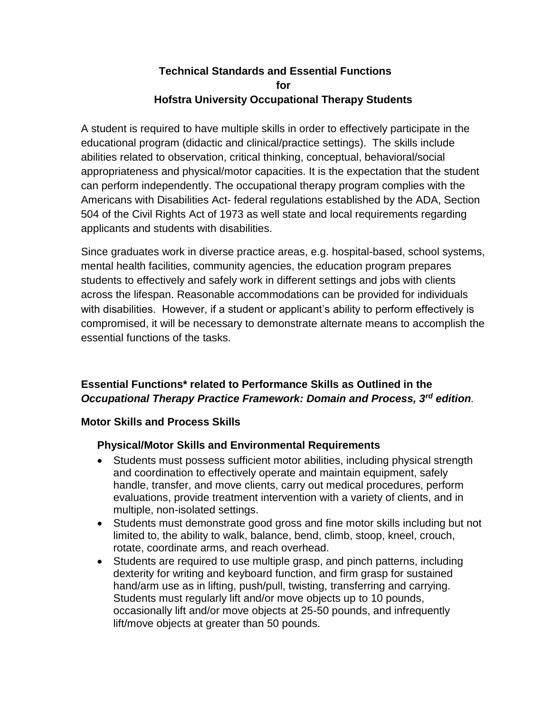## **Technical Standards and Essential Functions for Hofstra University Occupational Therapy Students**

A student is required to have multiple skills in order to effectively participate in the educational program (didactic and clinical/practice settings). The skills include abilities related to observation, critical thinking, conceptual, behavioral/social appropriateness and physical/motor capacities. It is the expectation that the student can perform independently. The occupational therapy program complies with the Americans with Disabilities Act- federal regulations established by the ADA, Section 504 of the Civil Rights Act of 1973 as well state and local requirements regarding applicants and students with disabilities.

Since graduates work in diverse practice areas, e.g. hospital-based, school systems, mental health facilities, community agencies, the education program prepares students to effectively and safely work in different settings and jobs with clients across the lifespan. Reasonable accommodations can be provided for individuals with disabilities. However, if a student or applicant's ability to perform effectively is compromised, it will be necessary to demonstrate alternate means to accomplish the essential functions of the tasks.

# **Essential Functions\* related to Performance Skills as Outlined in the**  *Occupational Therapy Practice Framework: Domain and Process, 3rd edition.*

## **Motor Skills and Process Skills**

## **Physical/Motor Skills and Environmental Requirements**

- Students must possess sufficient motor abilities, including physical strength and coordination to effectively operate and maintain equipment, safely handle, transfer, and move clients, carry out medical procedures, perform evaluations, provide treatment intervention with a variety of clients, and in multiple, non-isolated settings.
- Students must demonstrate good gross and fine motor skills including but not limited to, the ability to walk, balance, bend, climb, stoop, kneel, crouch, rotate, coordinate arms, and reach overhead.
- Students are required to use multiple grasp, and pinch patterns, including dexterity for writing and keyboard function, and firm grasp for sustained hand/arm use as in lifting, push/pull, twisting, transferring and carrying. Students must regularly lift and/or move objects up to 10 pounds, occasionally lift and/or move objects at 25-50 pounds, and infrequently lift/move objects at greater than 50 pounds.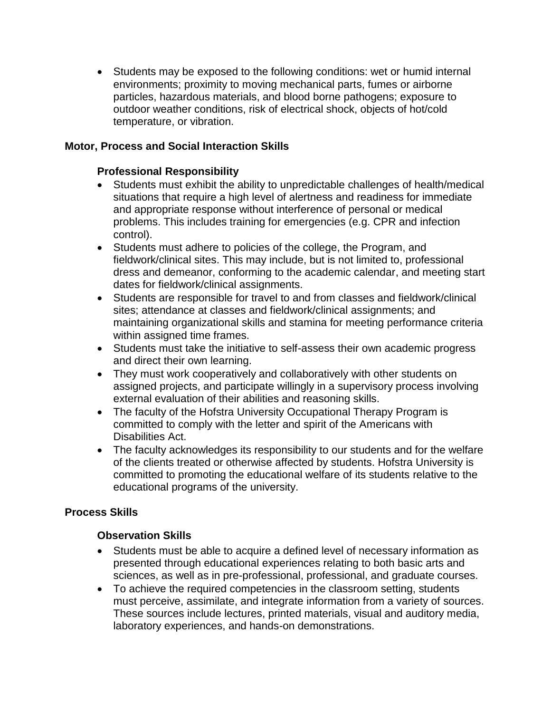Students may be exposed to the following conditions: wet or humid internal environments; proximity to moving mechanical parts, fumes or airborne particles, hazardous materials, and blood borne pathogens; exposure to outdoor weather conditions, risk of electrical shock, objects of hot/cold temperature, or vibration.

#### **Motor, Process and Social Interaction Skills**

#### **Professional Responsibility**

- Students must exhibit the ability to unpredictable challenges of health/medical situations that require a high level of alertness and readiness for immediate and appropriate response without interference of personal or medical problems. This includes training for emergencies (e.g. CPR and infection control).
- Students must adhere to policies of the college, the Program, and fieldwork/clinical sites. This may include, but is not limited to, professional dress and demeanor, conforming to the academic calendar, and meeting start dates for fieldwork/clinical assignments.
- Students are responsible for travel to and from classes and fieldwork/clinical sites; attendance at classes and fieldwork/clinical assignments; and maintaining organizational skills and stamina for meeting performance criteria within assigned time frames.
- Students must take the initiative to self-assess their own academic progress and direct their own learning.
- They must work cooperatively and collaboratively with other students on assigned projects, and participate willingly in a supervisory process involving external evaluation of their abilities and reasoning skills.
- The faculty of the Hofstra University Occupational Therapy Program is committed to comply with the letter and spirit of the Americans with Disabilities Act.
- The faculty acknowledges its responsibility to our students and for the welfare of the clients treated or otherwise affected by students. Hofstra University is committed to promoting the educational welfare of its students relative to the educational programs of the university.

## **Process Skills**

#### **Observation Skills**

- Students must be able to acquire a defined level of necessary information as presented through educational experiences relating to both basic arts and sciences, as well as in pre-professional, professional, and graduate courses.
- To achieve the required competencies in the classroom setting, students must perceive, assimilate, and integrate information from a variety of sources. These sources include lectures, printed materials, visual and auditory media, laboratory experiences, and hands-on demonstrations.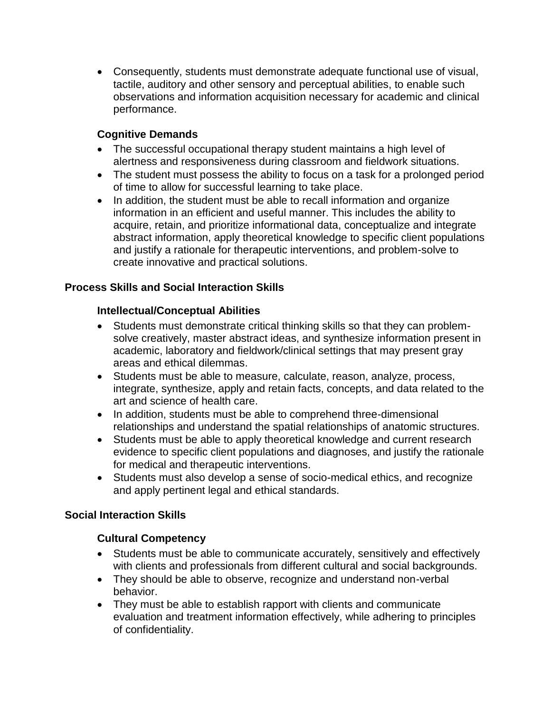Consequently, students must demonstrate adequate functional use of visual, tactile, auditory and other sensory and perceptual abilities, to enable such observations and information acquisition necessary for academic and clinical performance.

## **Cognitive Demands**

- The successful occupational therapy student maintains a high level of alertness and responsiveness during classroom and fieldwork situations.
- The student must possess the ability to focus on a task for a prolonged period of time to allow for successful learning to take place.
- In addition, the student must be able to recall information and organize information in an efficient and useful manner. This includes the ability to acquire, retain, and prioritize informational data, conceptualize and integrate abstract information, apply theoretical knowledge to specific client populations and justify a rationale for therapeutic interventions, and problem-solve to create innovative and practical solutions.

## **Process Skills and Social Interaction Skills**

## **Intellectual/Conceptual Abilities**

- Students must demonstrate critical thinking skills so that they can problemsolve creatively, master abstract ideas, and synthesize information present in academic, laboratory and fieldwork/clinical settings that may present gray areas and ethical dilemmas.
- Students must be able to measure, calculate, reason, analyze, process, integrate, synthesize, apply and retain facts, concepts, and data related to the art and science of health care.
- In addition, students must be able to comprehend three-dimensional relationships and understand the spatial relationships of anatomic structures.
- Students must be able to apply theoretical knowledge and current research evidence to specific client populations and diagnoses, and justify the rationale for medical and therapeutic interventions.
- Students must also develop a sense of socio-medical ethics, and recognize and apply pertinent legal and ethical standards.

## **Social Interaction Skills**

## **Cultural Competency**

- Students must be able to communicate accurately, sensitively and effectively with clients and professionals from different cultural and social backgrounds.
- They should be able to observe, recognize and understand non-verbal behavior.
- They must be able to establish rapport with clients and communicate evaluation and treatment information effectively, while adhering to principles of confidentiality.